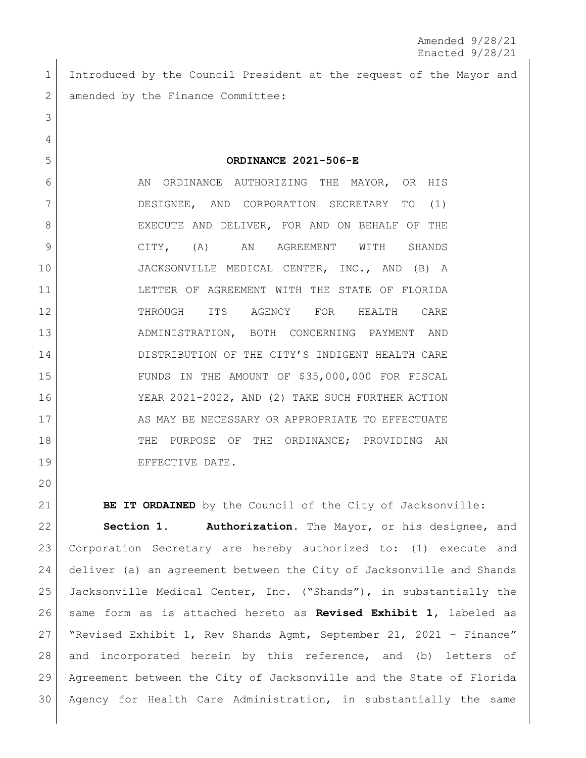Amended 9/28/21 Enacted 9/28/21

 Introduced by the Council President at the request of the Mayor and 2 amended by the Finance Committee:

6 AN ORDINANCE AUTHORIZING THE MAYOR, OR HIS DESIGNEE, AND CORPORATION SECRETARY TO (1) 8 EXECUTE AND DELIVER, FOR AND ON BEHALF OF THE CITY, (A) AN AGREEMENT WITH SHANDS JACKSONVILLE MEDICAL CENTER, INC., AND (B) A 11 LETTER OF AGREEMENT WITH THE STATE OF FLORIDA 12 THROUGH ITS AGENCY FOR HEALTH CARE ADMINISTRATION, BOTH CONCERNING PAYMENT AND 14 DISTRIBUTION OF THE CITY'S INDIGENT HEALTH CARE FUNDS IN THE AMOUNT OF \$35,000,000 FOR FISCAL YEAR 2021-2022, AND (2) TAKE SUCH FURTHER ACTION 17 AS MAY BE NECESSARY OR APPROPRIATE TO EFFECTUATE 18 THE PURPOSE OF THE ORDINANCE; PROVIDING AN 19 BEFECTIVE DATE.

**ORDINANCE 2021-506-E**

**BE IT ORDAINED** by the Council of the City of Jacksonville:

 **Section 1. Authorization.** The Mayor, or his designee, and Corporation Secretary are hereby authorized to: (1) execute and deliver (a) an agreement between the City of Jacksonville and Shands Jacksonville Medical Center, Inc. ("Shands"), in substantially the same form as is attached hereto as **Revised Exhibit 1,** labeled as "Revised Exhibit 1, Rev Shands Agmt, September 21, 2021 – Finance" 28 and incorporated herein by this reference, and (b) letters of Agreement between the City of Jacksonville and the State of Florida Agency for Health Care Administration, in substantially the same